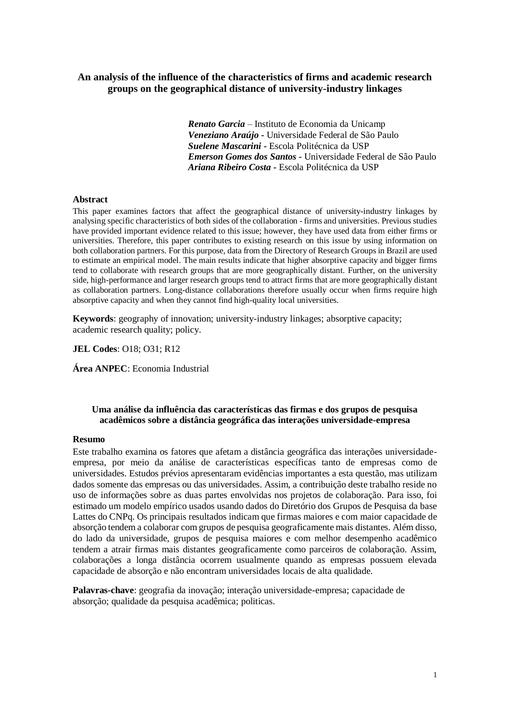# **An analysis of the influence of the characteristics of firms and academic research groups on the geographical distance of university-industry linkages**

*Renato Garcia* – Instituto de Economia da Unicamp *Veneziano Araújo -* Universidade Federal de São Paulo *Suelene Mascarini -* Escola Politécnica da USP *Emerson Gomes dos Santos -* Universidade Federal de São Paulo *Ariana Ribeiro Costa -* Escola Politécnica da USP

#### **Abstract**

This paper examines factors that affect the geographical distance of university-industry linkages by analysing specific characteristics of both sides of the collaboration - firms and universities. Previous studies have provided important evidence related to this issue; however, they have used data from either firms or universities. Therefore, this paper contributes to existing research on this issue by using information on both collaboration partners. For this purpose, data from the Directory of Research Groups in Brazil are used to estimate an empirical model. The main results indicate that higher absorptive capacity and bigger firms tend to collaborate with research groups that are more geographically distant. Further, on the university side, high-performance and larger research groups tend to attract firms that are more geographically distant as collaboration partners. Long-distance collaborations therefore usually occur when firms require high absorptive capacity and when they cannot find high-quality local universities.

**Keywords**: geography of innovation; university-industry linkages; absorptive capacity; academic research quality; policy.

**JEL Codes**: O18; O31; R12

**Área ANPEC**: Economia Industrial

# **Uma análise da influência das características das firmas e dos grupos de pesquisa acadêmicos sobre a distância geográfica das interações universidade-empresa**

### **Resumo**

Este trabalho examina os fatores que afetam a distância geográfica das interações universidadeempresa, por meio da análise de características específicas tanto de empresas como de universidades. Estudos prévios apresentaram evidências importantes a esta questão, mas utilizam dados somente das empresas ou das universidades. Assim, a contribuição deste trabalho reside no uso de informações sobre as duas partes envolvidas nos projetos de colaboração. Para isso, foi estimado um modelo empírico usados usando dados do Diretório dos Grupos de Pesquisa da base Lattes do CNPq. Os principais resultados indicam que firmas maiores e com maior capacidade de absorção tendem a colaborar com grupos de pesquisa geograficamente mais distantes. Além disso, do lado da universidade, grupos de pesquisa maiores e com melhor desempenho acadêmico tendem a atrair firmas mais distantes geograficamente como parceiros de colaboração. Assim, colaborações a longa distância ocorrem usualmente quando as empresas possuem elevada capacidade de absorção e não encontram universidades locais de alta qualidade.

**Palavras-chave**: geografia da inovação; interação universidade-empresa; capacidade de absorção; qualidade da pesquisa acadêmica; politicas.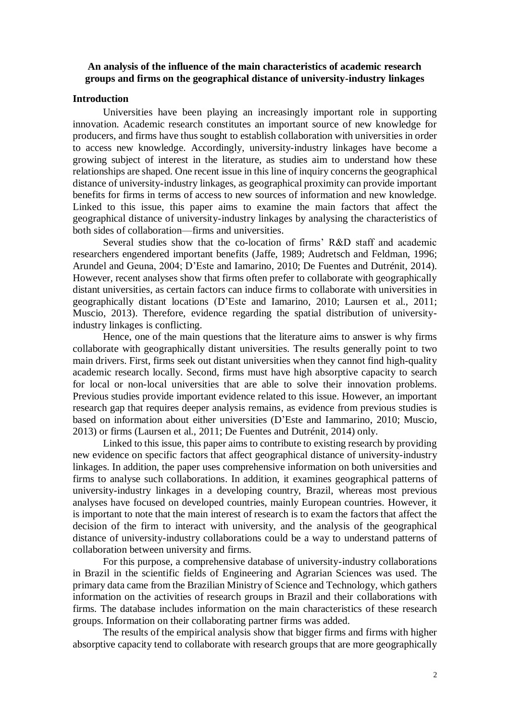# **An analysis of the influence of the main characteristics of academic research groups and firms on the geographical distance of university-industry linkages**

# **Introduction**

Universities have been playing an increasingly important role in supporting innovation. Academic research constitutes an important source of new knowledge for producers, and firms have thus sought to establish collaboration with universities in order to access new knowledge. Accordingly, university-industry linkages have become a growing subject of interest in the literature, as studies aim to understand how these relationships are shaped. One recent issue in this line of inquiry concerns the geographical distance of university-industry linkages, as geographical proximity can provide important benefits for firms in terms of access to new sources of information and new knowledge. Linked to this issue, this paper aims to examine the main factors that affect the geographical distance of university-industry linkages by analysing the characteristics of both sides of collaboration—firms and universities.

Several studies show that the co-location of firms' R&D staff and academic researchers engendered important benefits (Jaffe, 1989; Audretsch and Feldman, 1996; Arundel and Geuna, 2004; D'Este and Iamarino, 2010; De Fuentes and Dutrénit, 2014). However, recent analyses show that firms often prefer to collaborate with geographically distant universities, as certain factors can induce firms to collaborate with universities in geographically distant locations (D'Este and Iamarino, 2010; Laursen et al., 2011; Muscio, 2013). Therefore, evidence regarding the spatial distribution of universityindustry linkages is conflicting.

Hence, one of the main questions that the literature aims to answer is why firms collaborate with geographically distant universities. The results generally point to two main drivers. First, firms seek out distant universities when they cannot find high-quality academic research locally. Second, firms must have high absorptive capacity to search for local or non-local universities that are able to solve their innovation problems. Previous studies provide important evidence related to this issue. However, an important research gap that requires deeper analysis remains, as evidence from previous studies is based on information about either universities (D'Este and Iammarino, 2010; Muscio, 2013) or firms (Laursen et al., 2011; De Fuentes and Dutrénit, 2014) only.

Linked to this issue, this paper aims to contribute to existing research by providing new evidence on specific factors that affect geographical distance of university-industry linkages. In addition, the paper uses comprehensive information on both universities and firms to analyse such collaborations. In addition, it examines geographical patterns of university-industry linkages in a developing country, Brazil, whereas most previous analyses have focused on developed countries, mainly European countries. However, it is important to note that the main interest of research is to exam the factors that affect the decision of the firm to interact with university, and the analysis of the geographical distance of university-industry collaborations could be a way to understand patterns of collaboration between university and firms.

For this purpose, a comprehensive database of university-industry collaborations in Brazil in the scientific fields of Engineering and Agrarian Sciences was used. The primary data came from the Brazilian Ministry of Science and Technology, which gathers information on the activities of research groups in Brazil and their collaborations with firms. The database includes information on the main characteristics of these research groups. Information on their collaborating partner firms was added.

The results of the empirical analysis show that bigger firms and firms with higher absorptive capacity tend to collaborate with research groups that are more geographically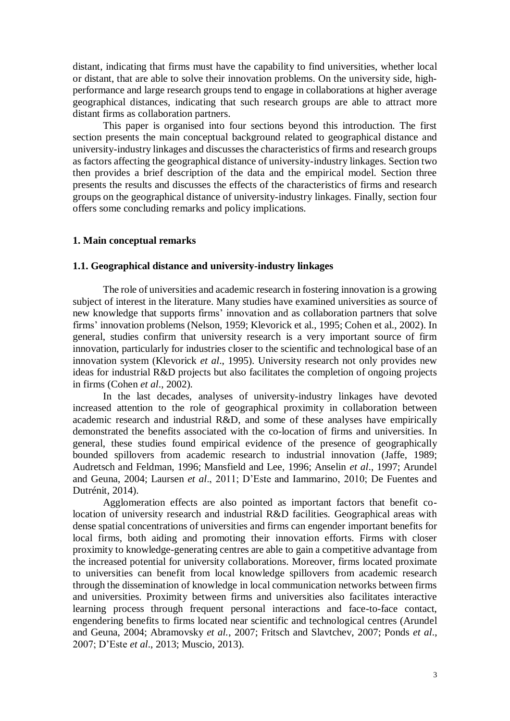distant, indicating that firms must have the capability to find universities, whether local or distant, that are able to solve their innovation problems. On the university side, highperformance and large research groups tend to engage in collaborations at higher average geographical distances, indicating that such research groups are able to attract more distant firms as collaboration partners.

This paper is organised into four sections beyond this introduction. The first section presents the main conceptual background related to geographical distance and university-industry linkages and discusses the characteristics of firms and research groups as factors affecting the geographical distance of university-industry linkages. Section two then provides a brief description of the data and the empirical model. Section three presents the results and discusses the effects of the characteristics of firms and research groups on the geographical distance of university-industry linkages. Finally, section four offers some concluding remarks and policy implications.

# **1. Main conceptual remarks**

### **1.1. Geographical distance and university-industry linkages**

The role of universities and academic research in fostering innovation is a growing subject of interest in the literature. Many studies have examined universities as source of new knowledge that supports firms' innovation and as collaboration partners that solve firms' innovation problems (Nelson, 1959; Klevorick et al., 1995; Cohen et al., 2002). In general, studies confirm that university research is a very important source of firm innovation, particularly for industries closer to the scientific and technological base of an innovation system (Klevorick *et al*., 1995). University research not only provides new ideas for industrial R&D projects but also facilitates the completion of ongoing projects in firms (Cohen *et al*., 2002).

In the last decades, analyses of university-industry linkages have devoted increased attention to the role of geographical proximity in collaboration between academic research and industrial R&D, and some of these analyses have empirically demonstrated the benefits associated with the co-location of firms and universities. In general, these studies found empirical evidence of the presence of geographically bounded spillovers from academic research to industrial innovation (Jaffe, 1989; Audretsch and Feldman, 1996; Mansfield and Lee, 1996; Anselin *et al*., 1997; Arundel and Geuna, 2004; Laursen *et al*., 2011; D'Este and Iammarino, 2010; De Fuentes and Dutrénit, 2014).

Agglomeration effects are also pointed as important factors that benefit colocation of university research and industrial R&D facilities. Geographical areas with dense spatial concentrations of universities and firms can engender important benefits for local firms, both aiding and promoting their innovation efforts. Firms with closer proximity to knowledge-generating centres are able to gain a competitive advantage from the increased potential for university collaborations. Moreover, firms located proximate to universities can benefit from local knowledge spillovers from academic research through the dissemination of knowledge in local communication networks between firms and universities. Proximity between firms and universities also facilitates interactive learning process through frequent personal interactions and face-to-face contact, engendering benefits to firms located near scientific and technological centres (Arundel and Geuna, 2004; Abramovsky *et al.*, 2007; Fritsch and Slavtchev, 2007; Ponds *et al*., 2007; D'Este *et al*., 2013; Muscio, 2013).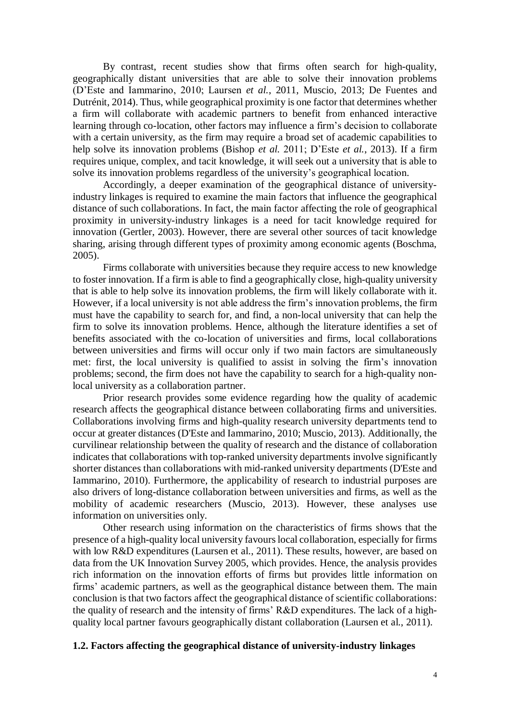By contrast, recent studies show that firms often search for high-quality, geographically distant universities that are able to solve their innovation problems (D'Este and Iammarino, 2010; Laursen *et al.*, 2011, Muscio, 2013; De Fuentes and Dutrénit, 2014). Thus, while geographical proximity is one factor that determines whether a firm will collaborate with academic partners to benefit from enhanced interactive learning through co-location, other factors may influence a firm's decision to collaborate with a certain university, as the firm may require a broad set of academic capabilities to help solve its innovation problems (Bishop *et al.* 2011; D'Este *et al.*, 2013). If a firm requires unique, complex, and tacit knowledge, it will seek out a university that is able to solve its innovation problems regardless of the university's geographical location.

Accordingly, a deeper examination of the geographical distance of universityindustry linkages is required to examine the main factors that influence the geographical distance of such collaborations. In fact, the main factor affecting the role of geographical proximity in university-industry linkages is a need for tacit knowledge required for innovation (Gertler, 2003). However, there are several other sources of tacit knowledge sharing, arising through different types of proximity among economic agents (Boschma, 2005).

Firms collaborate with universities because they require access to new knowledge to foster innovation. If a firm is able to find a geographically close, high-quality university that is able to help solve its innovation problems, the firm will likely collaborate with it. However, if a local university is not able address the firm's innovation problems, the firm must have the capability to search for, and find, a non-local university that can help the firm to solve its innovation problems. Hence, although the literature identifies a set of benefits associated with the co-location of universities and firms, local collaborations between universities and firms will occur only if two main factors are simultaneously met: first, the local university is qualified to assist in solving the firm's innovation problems; second, the firm does not have the capability to search for a high-quality nonlocal university as a collaboration partner.

Prior research provides some evidence regarding how the quality of academic research affects the geographical distance between collaborating firms and universities. Collaborations involving firms and high-quality research university departments tend to occur at greater distances (D'Este and Iammarino, 2010; Muscio, 2013). Additionally, the curvilinear relationship between the quality of research and the distance of collaboration indicates that collaborations with top-ranked university departments involve significantly shorter distances than collaborations with mid-ranked university departments (D'Este and Iammarino, 2010). Furthermore, the applicability of research to industrial purposes are also drivers of long-distance collaboration between universities and firms, as well as the mobility of academic researchers (Muscio, 2013). However, these analyses use information on universities only.

Other research using information on the characteristics of firms shows that the presence of a high-quality local university favours local collaboration, especially for firms with low R&D expenditures (Laursen et al., 2011). These results, however, are based on data from the UK Innovation Survey 2005, which provides. Hence, the analysis provides rich information on the innovation efforts of firms but provides little information on firms' academic partners, as well as the geographical distance between them. The main conclusion is that two factors affect the geographical distance of scientific collaborations: the quality of research and the intensity of firms' R&D expenditures. The lack of a highquality local partner favours geographically distant collaboration (Laursen et al., 2011).

# **1.2. Factors affecting the geographical distance of university-industry linkages**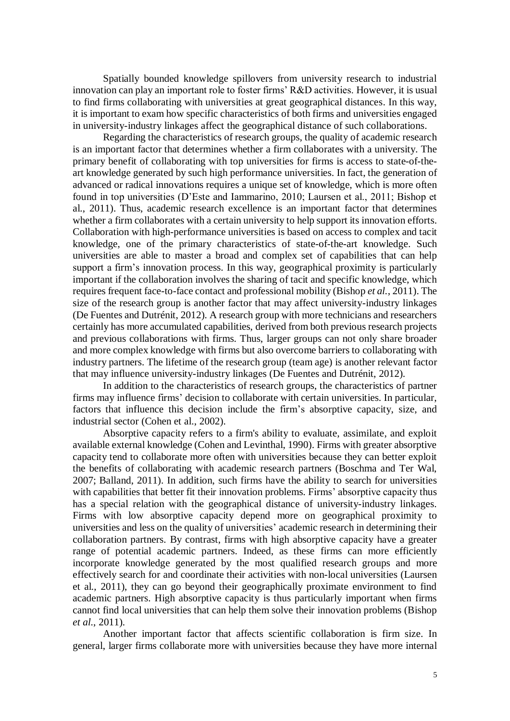Spatially bounded knowledge spillovers from university research to industrial innovation can play an important role to foster firms' R&D activities. However, it is usual to find firms collaborating with universities at great geographical distances. In this way, it is important to exam how specific characteristics of both firms and universities engaged in university-industry linkages affect the geographical distance of such collaborations.

Regarding the characteristics of research groups, the quality of academic research is an important factor that determines whether a firm collaborates with a university. The primary benefit of collaborating with top universities for firms is access to state-of-theart knowledge generated by such high performance universities. In fact, the generation of advanced or radical innovations requires a unique set of knowledge, which is more often found in top universities (D'Este and Iammarino, 2010; Laursen et al., 2011; Bishop et al., 2011). Thus, academic research excellence is an important factor that determines whether a firm collaborates with a certain university to help support its innovation efforts. Collaboration with high-performance universities is based on access to complex and tacit knowledge, one of the primary characteristics of state-of-the-art knowledge. Such universities are able to master a broad and complex set of capabilities that can help support a firm's innovation process. In this way, geographical proximity is particularly important if the collaboration involves the sharing of tacit and specific knowledge, which requires frequent face-to-face contact and professional mobility (Bishop *et al.*, 2011). The size of the research group is another factor that may affect university-industry linkages (De Fuentes and Dutrénit, 2012). A research group with more technicians and researchers certainly has more accumulated capabilities, derived from both previous research projects and previous collaborations with firms. Thus, larger groups can not only share broader and more complex knowledge with firms but also overcome barriers to collaborating with industry partners. The lifetime of the research group (team age) is another relevant factor that may influence university-industry linkages (De Fuentes and Dutrénit, 2012).

In addition to the characteristics of research groups, the characteristics of partner firms may influence firms' decision to collaborate with certain universities. In particular, factors that influence this decision include the firm's absorptive capacity, size, and industrial sector (Cohen et al., 2002).

Absorptive capacity refers to a firm's ability to evaluate, assimilate, and exploit available external knowledge (Cohen and Levinthal, 1990). Firms with greater absorptive capacity tend to collaborate more often with universities because they can better exploit the benefits of collaborating with academic research partners (Boschma and Ter Wal, 2007; Balland, 2011). In addition, such firms have the ability to search for universities with capabilities that better fit their innovation problems. Firms' absorptive capacity thus has a special relation with the geographical distance of university-industry linkages. Firms with low absorptive capacity depend more on geographical proximity to universities and less on the quality of universities' academic research in determining their collaboration partners. By contrast, firms with high absorptive capacity have a greater range of potential academic partners. Indeed, as these firms can more efficiently incorporate knowledge generated by the most qualified research groups and more effectively search for and coordinate their activities with non-local universities (Laursen et al., 2011), they can go beyond their geographically proximate environment to find academic partners. High absorptive capacity is thus particularly important when firms cannot find local universities that can help them solve their innovation problems (Bishop *et al.*, 2011).

Another important factor that affects scientific collaboration is firm size. In general, larger firms collaborate more with universities because they have more internal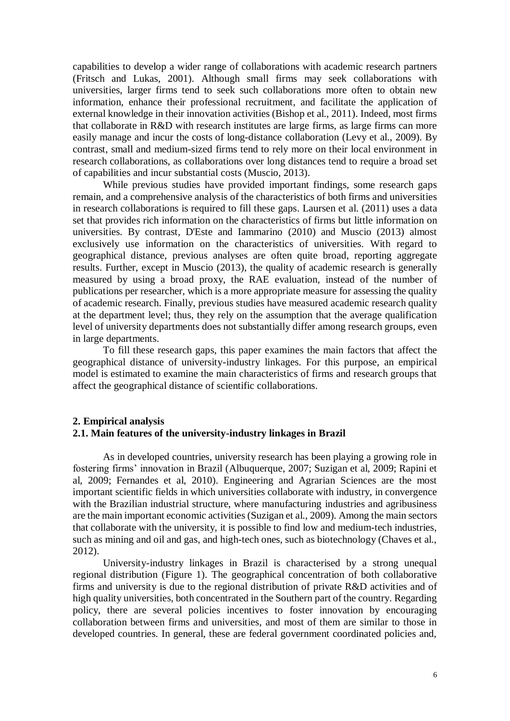capabilities to develop a wider range of collaborations with academic research partners (Fritsch and Lukas, 2001). Although small firms may seek collaborations with universities, larger firms tend to seek such collaborations more often to obtain new information, enhance their professional recruitment, and facilitate the application of external knowledge in their innovation activities (Bishop et al., 2011). Indeed, most firms that collaborate in R&D with research institutes are large firms, as large firms can more easily manage and incur the costs of long-distance collaboration (Levy et al., 2009). By contrast, small and medium-sized firms tend to rely more on their local environment in research collaborations, as collaborations over long distances tend to require a broad set of capabilities and incur substantial costs (Muscio, 2013).

While previous studies have provided important findings, some research gaps remain, and a comprehensive analysis of the characteristics of both firms and universities in research collaborations is required to fill these gaps. Laursen et al. (2011) uses a data set that provides rich information on the characteristics of firms but little information on universities. By contrast, D'Este and Iammarino (2010) and Muscio (2013) almost exclusively use information on the characteristics of universities. With regard to geographical distance, previous analyses are often quite broad, reporting aggregate results. Further, except in Muscio (2013), the quality of academic research is generally measured by using a broad proxy, the RAE evaluation, instead of the number of publications per researcher, which is a more appropriate measure for assessing the quality of academic research. Finally, previous studies have measured academic research quality at the department level; thus, they rely on the assumption that the average qualification level of university departments does not substantially differ among research groups, even in large departments.

To fill these research gaps, this paper examines the main factors that affect the geographical distance of university-industry linkages. For this purpose, an empirical model is estimated to examine the main characteristics of firms and research groups that affect the geographical distance of scientific collaborations.

# **2. Empirical analysis 2.1. Main features of the university-industry linkages in Brazil**

As in developed countries, university research has been playing a growing role in fostering firms' innovation in Brazil (Albuquerque, 2007; Suzigan et al, 2009; Rapini et al, 2009; Fernandes et al, 2010). Engineering and Agrarian Sciences are the most important scientific fields in which universities collaborate with industry, in convergence with the Brazilian industrial structure, where manufacturing industries and agribusiness are the main important economic activities (Suzigan et al., 2009). Among the main sectors that collaborate with the university, it is possible to find low and medium-tech industries, such as mining and oil and gas, and high-tech ones, such as biotechnology (Chaves et al., 2012).

University-industry linkages in Brazil is characterised by a strong unequal regional distribution (Figure 1). The geographical concentration of both collaborative firms and university is due to the regional distribution of private R&D activities and of high quality universities, both concentrated in the Southern part of the country. Regarding policy, there are several policies incentives to foster innovation by encouraging collaboration between firms and universities, and most of them are similar to those in developed countries. In general, these are federal government coordinated policies and,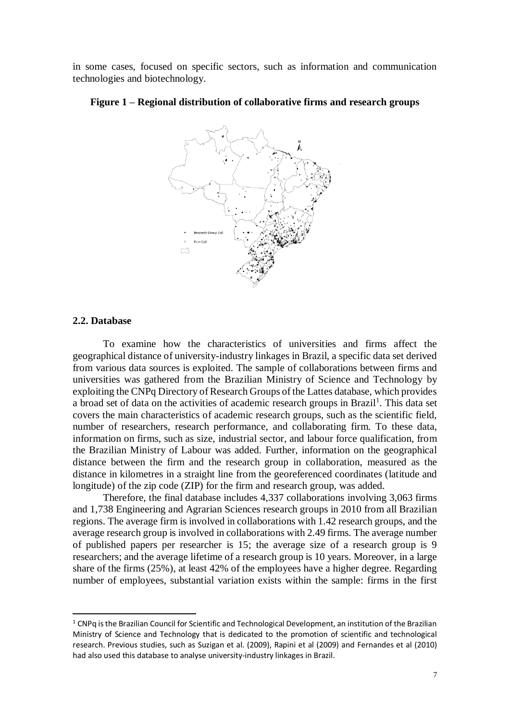in some cases, focused on specific sectors, such as information and communication technologies and biotechnology.



### **Figure 1 – Regional distribution of collaborative firms and research groups**

### **2.2. Database**

 $\overline{a}$ 

To examine how the characteristics of universities and firms affect the geographical distance of university-industry linkages in Brazil, a specific data set derived from various data sources is exploited. The sample of collaborations between firms and universities was gathered from the Brazilian Ministry of Science and Technology by exploiting the CNPq Directory of Research Groups of the Lattes database, which provides a broad set of data on the activities of academic research groups in Brazil<sup>1</sup>. This data set covers the main characteristics of academic research groups, such as the scientific field, number of researchers, research performance, and collaborating firm. To these data, information on firms, such as size, industrial sector, and labour force qualification, from the Brazilian Ministry of Labour was added. Further, information on the geographical distance between the firm and the research group in collaboration, measured as the distance in kilometres in a straight line from the georeferenced coordinates (latitude and longitude) of the zip code (ZIP) for the firm and research group, was added.

Therefore, the final database includes 4,337 collaborations involving 3,063 firms and 1,738 Engineering and Agrarian Sciences research groups in 2010 from all Brazilian regions. The average firm is involved in collaborations with 1.42 research groups, and the average research group is involved in collaborations with 2.49 firms. The average number of published papers per researcher is 15; the average size of a research group is 9 researchers; and the average lifetime of a research group is 10 years. Moreover, in a large share of the firms (25%), at least 42% of the employees have a higher degree. Regarding number of employees, substantial variation exists within the sample: firms in the first

 $1$  CNPq is the Brazilian Council for Scientific and Technological Development, an institution of the Brazilian Ministry of Science and Technology that is dedicated to the promotion of scientific and technological research. Previous studies, such as Suzigan et al. (2009), Rapini et al (2009) and Fernandes et al (2010) had also used this database to analyse university-industry linkages in Brazil.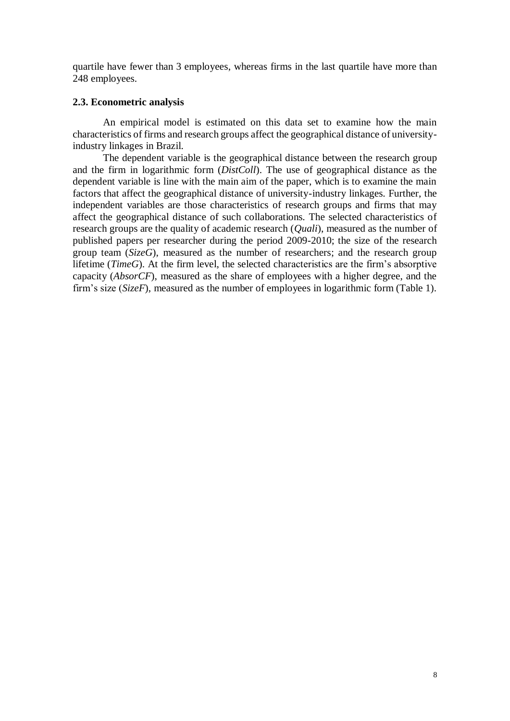quartile have fewer than 3 employees, whereas firms in the last quartile have more than 248 employees.

# **2.3. Econometric analysis**

An empirical model is estimated on this data set to examine how the main characteristics of firms and research groups affect the geographical distance of universityindustry linkages in Brazil.

The dependent variable is the geographical distance between the research group and the firm in logarithmic form (*DistColl*). The use of geographical distance as the dependent variable is line with the main aim of the paper, which is to examine the main factors that affect the geographical distance of university-industry linkages. Further, the independent variables are those characteristics of research groups and firms that may affect the geographical distance of such collaborations. The selected characteristics of research groups are the quality of academic research (*Quali*), measured as the number of published papers per researcher during the period 2009-2010; the size of the research group team  $(Size G)$ , measured as the number of researchers; and the research group lifetime (*TimeG*). At the firm level, the selected characteristics are the firm's absorptive capacity (*AbsorCF*), measured as the share of employees with a higher degree, and the firm's size (*SizeF*), measured as the number of employees in logarithmic form (Table 1).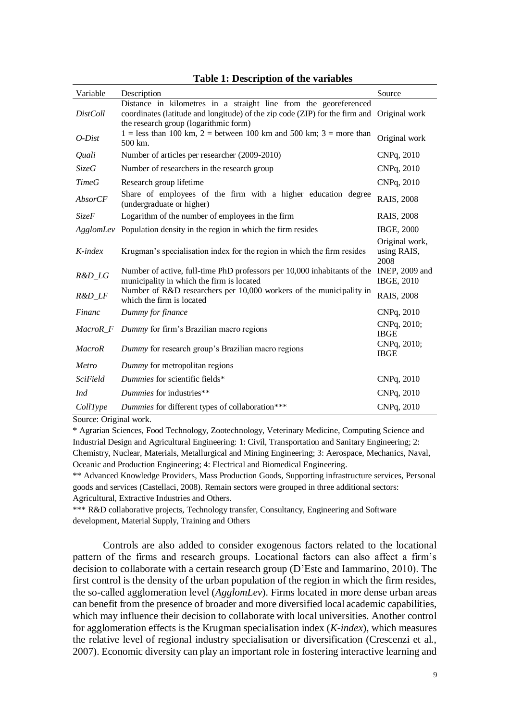| Variable        | Description                                                                                                                                                                              | Source                                |
|-----------------|------------------------------------------------------------------------------------------------------------------------------------------------------------------------------------------|---------------------------------------|
| <b>DistColl</b> | Distance in kilometres in a straight line from the georeferenced<br>coordinates (latitude and longitude) of the zip code (ZIP) for the firm and<br>the research group (logarithmic form) | Original work                         |
| $O-Dist$        | $1 =$ less than 100 km, $2 =$ between 100 km and 500 km; $3 =$ more than<br>500 km.                                                                                                      | Original work                         |
| Quali           | Number of articles per researcher (2009-2010)                                                                                                                                            | CNPq, 2010                            |
| <b>SizeG</b>    | Number of researchers in the research group                                                                                                                                              | CNPq, 2010                            |
| <b>TimeG</b>    | Research group lifetime                                                                                                                                                                  | CNPq, 2010                            |
| <b>AbsorCF</b>  | Share of employees of the firm with a higher education degree<br>(undergraduate or higher)                                                                                               | RAIS, 2008                            |
| <b>SizeF</b>    | Logarithm of the number of employees in the firm                                                                                                                                         | RAIS, 2008                            |
|                 | AgglomLev Population density in the region in which the firm resides                                                                                                                     | <b>IBGE, 2000</b>                     |
| $K$ -index      | Krugman's specialisation index for the region in which the firm resides                                                                                                                  | Original work,<br>using RAIS,<br>2008 |
| R&D_LG          | Number of active, full-time PhD professors per 10,000 inhabitants of the<br>municipality in which the firm is located                                                                    | INEP, 2009 and<br><b>IBGE, 2010</b>   |
| $R&D_LF$        | Number of R&D researchers per 10,000 workers of the municipality in<br>which the firm is located                                                                                         | RAIS, 2008                            |
| Financ          | Dummy for finance                                                                                                                                                                        | CNPq, 2010                            |
| MacroR_F        | Dummy for firm's Brazilian macro regions                                                                                                                                                 | CNPq, 2010;<br><b>IBGE</b>            |
| <b>MacroR</b>   | Dummy for research group's Brazilian macro regions                                                                                                                                       | CNPq, 2010;<br><b>IBGE</b>            |
| Metro           | Dummy for metropolitan regions                                                                                                                                                           |                                       |
| <i>SciField</i> | Dummies for scientific fields*                                                                                                                                                           | CNPq, 2010                            |
| Ind             | Dummies for industries**                                                                                                                                                                 | CNPq, 2010                            |
| CollType        | Dummies for different types of collaboration***                                                                                                                                          | CNPq, 2010                            |

| <b>Table 1: Description of the variables</b> |  |  |
|----------------------------------------------|--|--|
|----------------------------------------------|--|--|

Source: Original work.

\* Agrarian Sciences, Food Technology, Zootechnology, Veterinary Medicine, Computing Science and Industrial Design and Agricultural Engineering: 1: Civil, Transportation and Sanitary Engineering; 2: Chemistry, Nuclear, Materials, Metallurgical and Mining Engineering; 3: Aerospace, Mechanics, Naval, Oceanic and Production Engineering; 4: Electrical and Biomedical Engineering.

\*\* Advanced Knowledge Providers, Mass Production Goods, Supporting infrastructure services, Personal goods and services (Castellaci, 2008). Remain sectors were grouped in three additional sectors: Agricultural, Extractive Industries and Others.

\*\*\* R&D collaborative projects, Technology transfer, Consultancy, Engineering and Software development, Material Supply, Training and Others

Controls are also added to consider exogenous factors related to the locational pattern of the firms and research groups. Locational factors can also affect a firm's decision to collaborate with a certain research group (D'Este and Iammarino, 2010). The first control is the density of the urban population of the region in which the firm resides, the so-called agglomeration level (*AgglomLev*). Firms located in more dense urban areas can benefit from the presence of broader and more diversified local academic capabilities, which may influence their decision to collaborate with local universities. Another control for agglomeration effects is the Krugman specialisation index (*K-index*), which measures the relative level of regional industry specialisation or diversification (Crescenzi et al., 2007). Economic diversity can play an important role in fostering interactive learning and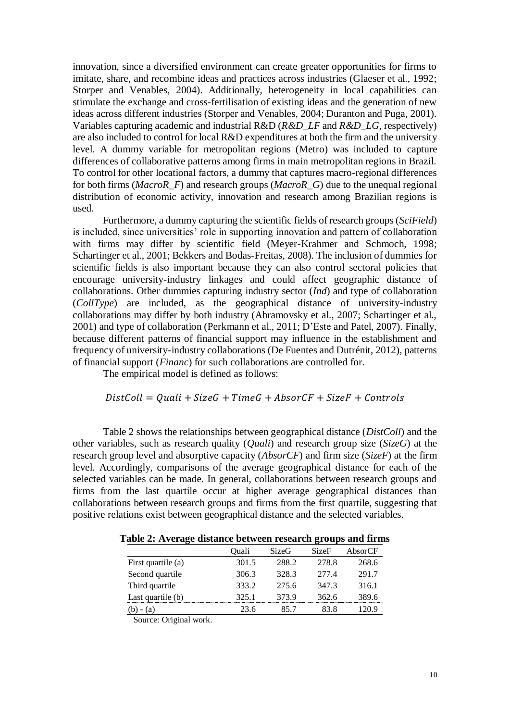innovation, since a diversified environment can create greater opportunities for firms to imitate, share, and recombine ideas and practices across industries (Glaeser et al., 1992; Storper and Venables, 2004). Additionally, heterogeneity in local capabilities can stimulate the exchange and cross-fertilisation of existing ideas and the generation of new ideas across different industries (Storper and Venables, 2004; Duranton and Puga, 2001). Variables capturing academic and industrial R&D (*R&D\_LF* and *R&D\_LG*, respectively) are also included to control for local R&D expenditures at both the firm and the university level. A dummy variable for metropolitan regions (Metro) was included to capture differences of collaborative patterns among firms in main metropolitan regions in Brazil. To control for other locational factors, a dummy that captures macro-regional differences for both firms (*MacroR\_F*) and research groups (*MacroR\_G*) due to the unequal regional distribution of economic activity, innovation and research among Brazilian regions is used.

Furthermore, a dummy capturing the scientific fields of research groups (*SciField*) is included, since universities' role in supporting innovation and pattern of collaboration with firms may differ by scientific field (Meyer-Krahmer and Schmoch, 1998; Schartinger et al., 2001; Bekkers and Bodas-Freitas, 2008). The inclusion of dummies for scientific fields is also important because they can also control sectoral policies that encourage university-industry linkages and could affect geographic distance of collaborations. Other dummies capturing industry sector (*Ind*) and type of collaboration (*CollType*) are included, as the geographical distance of university-industry collaborations may differ by both industry (Abramovsky et al., 2007; Schartinger et al., 2001) and type of collaboration (Perkmann et al., 2011; D'Este and Patel, 2007). Finally, because different patterns of financial support may influence in the establishment and frequency of university-industry collaborations (De Fuentes and Dutrénit, 2012), patterns of financial support (*Financ*) for such collaborations are controlled for.

The empirical model is defined as follows:

# $DistColl = Quali + SizeG + TimeG + AbsorCF + SizeF + Controls$

Table 2 shows the relationships between geographical distance (*DistColl*) and the other variables, such as research quality (*Quali*) and research group size (*SizeG*) at the research group level and absorptive capacity (*AbsorCF*) and firm size (*SizeF*) at the firm level. Accordingly, comparisons of the average geographical distance for each of the selected variables can be made. In general, collaborations between research groups and firms from the last quartile occur at higher average geographical distances than collaborations between research groups and firms from the first quartile, suggesting that positive relations exist between geographical distance and the selected variables.

| -                  |       |       | -            |         |
|--------------------|-------|-------|--------------|---------|
|                    | Ouali | SizeG | <b>SizeF</b> | AbsorCF |
| First quartile (a) | 301.5 | 288.2 | 278.8        | 268.6   |
| Second quartile    | 306.3 | 328.3 | 277.4        | 291.7   |
| Third quartile     | 333.2 | 275.6 | 347.3        | 316.1   |
| Last quartile (b)  | 325.1 | 373.9 | 362.6        | 389.6   |
|                    | 23.6  | 85 7  | 83 8         | 120.9   |
|                    |       |       |              |         |

**Table 2: Average distance between research groups and firms**

Source: Original work.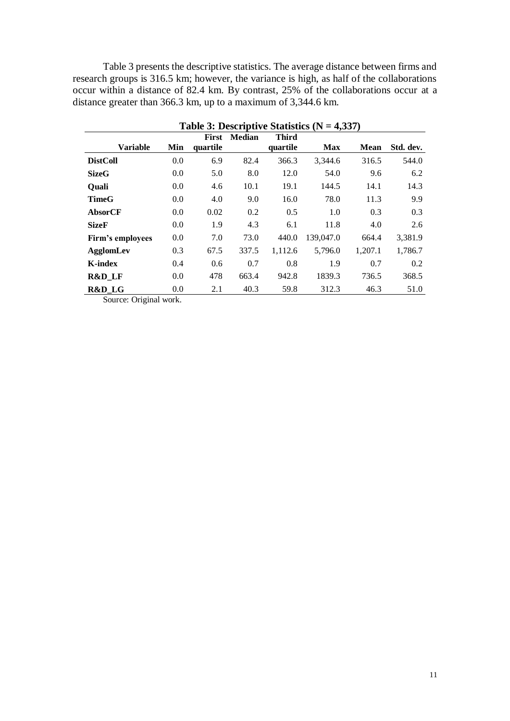Table 3 presents the descriptive statistics. The average distance between firms and research groups is 316.5 km; however, the variance is high, as half of the collaborations occur within a distance of 82.4 km. By contrast, 25% of the collaborations occur at a distance greater than 366.3 km, up to a maximum of 3,344.6 km.

| Table 3: Descriptive Statistics ( $N = 4,337$ ) |     |                          |               |                          |            |             |           |
|-------------------------------------------------|-----|--------------------------|---------------|--------------------------|------------|-------------|-----------|
| <b>Variable</b>                                 | Min | <b>First</b><br>quartile | <b>Median</b> | <b>Third</b><br>quartile | <b>Max</b> | <b>Mean</b> | Std. dev. |
| <b>DistColl</b>                                 | 0.0 | 6.9                      | 82.4          | 366.3                    | 3,344.6    | 316.5       | 544.0     |
| <b>SizeG</b>                                    | 0.0 | 5.0                      | 8.0           | 12.0                     | 54.0       | 9.6         | 6.2       |
| <b>Ouali</b>                                    | 0.0 | 4.6                      | 10.1          | 19.1                     | 144.5      | 14.1        | 14.3      |
| <b>TimeG</b>                                    | 0.0 | 4.0                      | 9.0           | 16.0                     | 78.0       | 11.3        | 9.9       |
| AbsorCF                                         | 0.0 | 0.02                     | 0.2           | 0.5                      | 1.0        | 0.3         | 0.3       |
| <b>SizeF</b>                                    | 0.0 | 1.9                      | 4.3           | 6.1                      | 11.8       | 4.0         | 2.6       |
| Firm's employees                                | 0.0 | 7.0                      | 73.0          | 440.0                    | 139,047.0  | 664.4       | 3,381.9   |
| <b>AgglomLev</b>                                | 0.3 | 67.5                     | 337.5         | 1,112.6                  | 5,796.0    | 1,207.1     | 1,786.7   |
| <b>K-index</b>                                  | 0.4 | 0.6                      | 0.7           | 0.8                      | 1.9        | 0.7         | 0.2       |
| R&D LF                                          | 0.0 | 478                      | 663.4         | 942.8                    | 1839.3     | 736.5       | 368.5     |
| R&D_LG                                          | 0.0 | 2.1                      | 40.3          | 59.8                     | 312.3      | 46.3        | 51.0      |

Source: Original work.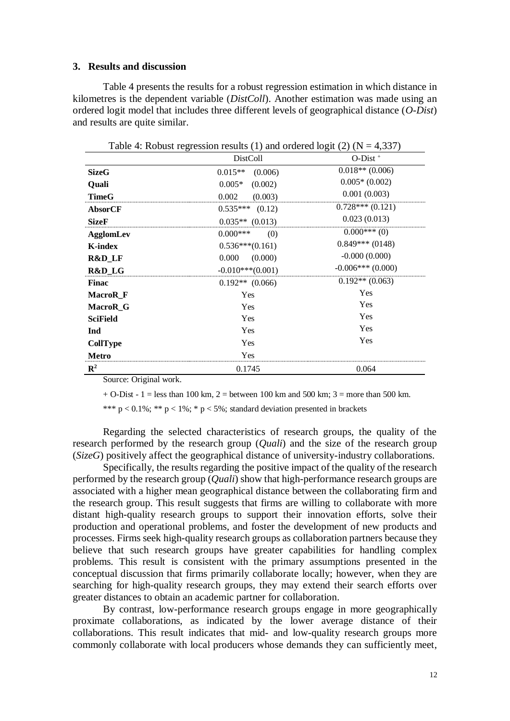### **3. Results and discussion**

Table 4 presents the results for a robust regression estimation in which distance in kilometres is the dependent variable (*DistColl*). Another estimation was made using an ordered logit model that includes three different levels of geographical distance (*O-Dist*) and results are quite similar.

| Table 4: Robust regression results (1) and ordered logit (2) ( $N = 4,337$ ) |                      |                        |  |  |
|------------------------------------------------------------------------------|----------------------|------------------------|--|--|
|                                                                              | <b>DistColl</b>      | $O-Dist^+$             |  |  |
| <b>SizeG</b>                                                                 | $0.015**$<br>(0.006) | $0.018**$ (0.006)      |  |  |
| Quali                                                                        | $0.005*$<br>(0.002)  | $0.005*(0.002)$        |  |  |
| <b>TimeG</b>                                                                 | 0.002<br>(0.003)     | 0.001(0.003)           |  |  |
| <b>AbsorCF</b>                                                               | $0.535***$ (0.12)    | $0.728***(0.121)$      |  |  |
| <b>SizeF</b>                                                                 | $0.035**$ (0.013)    | 0.023(0.013)           |  |  |
| <b>AgglomLev</b>                                                             | $0.000***$<br>(0)    | $0.000***(0)$          |  |  |
| <b>K-index</b>                                                               | $0.536***(0.161)$    | $0.849***(0148)$       |  |  |
| R&D_LF                                                                       | (0.000)<br>0.000     | $-0.000(0.000)$        |  |  |
| R&D_LG                                                                       | $-0.010***(0.001)$   | $-0.006$ *** $(0.000)$ |  |  |
| <b>Finac</b>                                                                 | $0.192**$ (0.066)    | $0.192**$ (0.063)      |  |  |
| MacroR <sub>F</sub>                                                          | Yes                  | Yes                    |  |  |
| MacroR G                                                                     | Yes                  | Yes                    |  |  |
| <b>SciField</b>                                                              | Yes                  | Yes                    |  |  |
| Ind                                                                          | Yes                  | Yes                    |  |  |
| CollType                                                                     | Yes                  | Yes                    |  |  |
| <b>Metro</b>                                                                 | Yes                  |                        |  |  |
| $\mathbf{R}^2$                                                               | 0.1745               | 0.064                  |  |  |

Source: Original work.

 $+$  O-Dist - 1 = less than 100 km, 2 = between 100 km and 500 km; 3 = more than 500 km.

\*\*\*  $p < 0.1\%$ ; \*\*  $p < 1\%$ ; \*  $p < 5\%$ ; standard deviation presented in brackets

Regarding the selected characteristics of research groups, the quality of the research performed by the research group (*Quali*) and the size of the research group (*SizeG*) positively affect the geographical distance of university-industry collaborations.

Specifically, the results regarding the positive impact of the quality of the research performed by the research group (*Quali*) show that high-performance research groups are associated with a higher mean geographical distance between the collaborating firm and the research group. This result suggests that firms are willing to collaborate with more distant high-quality research groups to support their innovation efforts, solve their production and operational problems, and foster the development of new products and processes. Firms seek high-quality research groups as collaboration partners because they believe that such research groups have greater capabilities for handling complex problems. This result is consistent with the primary assumptions presented in the conceptual discussion that firms primarily collaborate locally; however, when they are searching for high-quality research groups, they may extend their search efforts over greater distances to obtain an academic partner for collaboration.

By contrast, low-performance research groups engage in more geographically proximate collaborations, as indicated by the lower average distance of their collaborations. This result indicates that mid- and low-quality research groups more commonly collaborate with local producers whose demands they can sufficiently meet,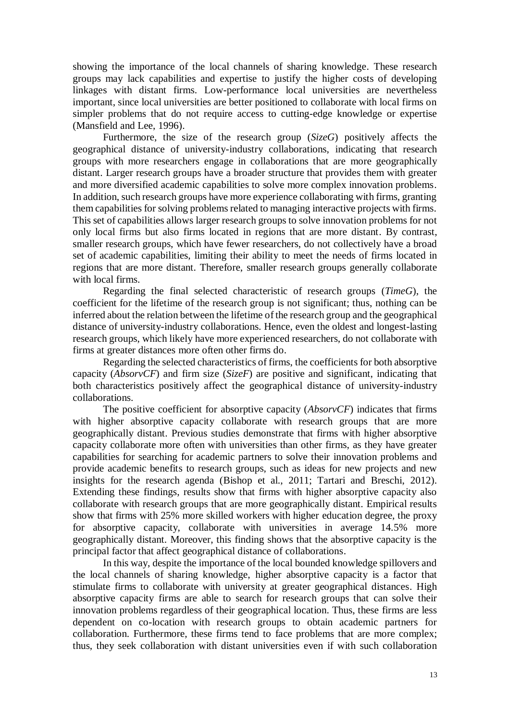showing the importance of the local channels of sharing knowledge. These research groups may lack capabilities and expertise to justify the higher costs of developing linkages with distant firms. Low-performance local universities are nevertheless important, since local universities are better positioned to collaborate with local firms on simpler problems that do not require access to cutting-edge knowledge or expertise (Mansfield and Lee, 1996).

Furthermore, the size of the research group (*SizeG*) positively affects the geographical distance of university-industry collaborations, indicating that research groups with more researchers engage in collaborations that are more geographically distant. Larger research groups have a broader structure that provides them with greater and more diversified academic capabilities to solve more complex innovation problems. In addition, such research groups have more experience collaborating with firms, granting them capabilities for solving problems related to managing interactive projects with firms. This set of capabilities allows larger research groups to solve innovation problems for not only local firms but also firms located in regions that are more distant. By contrast, smaller research groups, which have fewer researchers, do not collectively have a broad set of academic capabilities, limiting their ability to meet the needs of firms located in regions that are more distant. Therefore, smaller research groups generally collaborate with local firms.

Regarding the final selected characteristic of research groups (*TimeG*), the coefficient for the lifetime of the research group is not significant; thus, nothing can be inferred about the relation between the lifetime of the research group and the geographical distance of university-industry collaborations. Hence, even the oldest and longest-lasting research groups, which likely have more experienced researchers, do not collaborate with firms at greater distances more often other firms do.

Regarding the selected characteristics of firms, the coefficients for both absorptive capacity (*AbsorvCF*) and firm size (*SizeF*) are positive and significant, indicating that both characteristics positively affect the geographical distance of university-industry collaborations.

The positive coefficient for absorptive capacity (*AbsorvCF*) indicates that firms with higher absorptive capacity collaborate with research groups that are more geographically distant. Previous studies demonstrate that firms with higher absorptive capacity collaborate more often with universities than other firms, as they have greater capabilities for searching for academic partners to solve their innovation problems and provide academic benefits to research groups, such as ideas for new projects and new insights for the research agenda (Bishop et al., 2011; Tartari and Breschi, 2012). Extending these findings, results show that firms with higher absorptive capacity also collaborate with research groups that are more geographically distant. Empirical results show that firms with 25% more skilled workers with higher education degree, the proxy for absorptive capacity, collaborate with universities in average 14.5% more geographically distant. Moreover, this finding shows that the absorptive capacity is the principal factor that affect geographical distance of collaborations.

In this way, despite the importance of the local bounded knowledge spillovers and the local channels of sharing knowledge, higher absorptive capacity is a factor that stimulate firms to collaborate with university at greater geographical distances. High absorptive capacity firms are able to search for research groups that can solve their innovation problems regardless of their geographical location. Thus, these firms are less dependent on co-location with research groups to obtain academic partners for collaboration. Furthermore, these firms tend to face problems that are more complex; thus, they seek collaboration with distant universities even if with such collaboration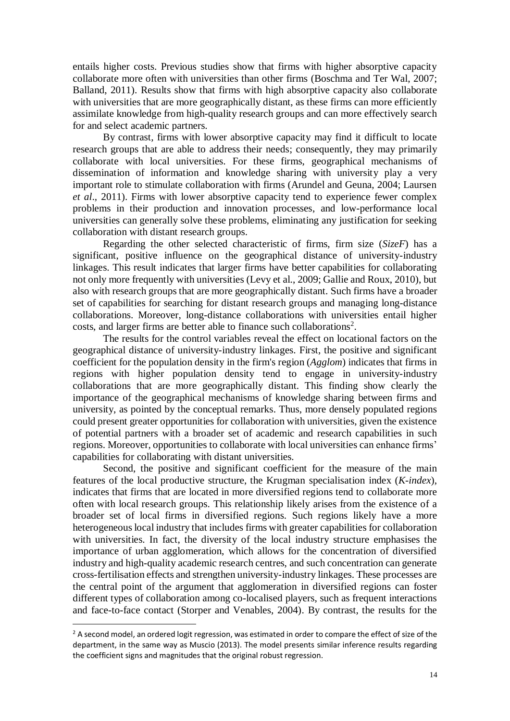entails higher costs. Previous studies show that firms with higher absorptive capacity collaborate more often with universities than other firms (Boschma and Ter Wal, 2007; Balland, 2011). Results show that firms with high absorptive capacity also collaborate with universities that are more geographically distant, as these firms can more efficiently assimilate knowledge from high-quality research groups and can more effectively search for and select academic partners.

By contrast, firms with lower absorptive capacity may find it difficult to locate research groups that are able to address their needs; consequently, they may primarily collaborate with local universities. For these firms, geographical mechanisms of dissemination of information and knowledge sharing with university play a very important role to stimulate collaboration with firms (Arundel and Geuna, 2004; Laursen *et al*., 2011). Firms with lower absorptive capacity tend to experience fewer complex problems in their production and innovation processes, and low-performance local universities can generally solve these problems, eliminating any justification for seeking collaboration with distant research groups.

Regarding the other selected characteristic of firms, firm size (*SizeF*) has a significant, positive influence on the geographical distance of university-industry linkages. This result indicates that larger firms have better capabilities for collaborating not only more frequently with universities (Levy et al., 2009; Gallie and Roux, 2010), but also with research groups that are more geographically distant. Such firms have a broader set of capabilities for searching for distant research groups and managing long-distance collaborations. Moreover, long-distance collaborations with universities entail higher costs, and larger firms are better able to finance such collaborations<sup>2</sup>.

The results for the control variables reveal the effect on locational factors on the geographical distance of university-industry linkages. First, the positive and significant coefficient for the population density in the firm's region (*Agglom*) indicates that firms in regions with higher population density tend to engage in university-industry collaborations that are more geographically distant. This finding show clearly the importance of the geographical mechanisms of knowledge sharing between firms and university, as pointed by the conceptual remarks. Thus, more densely populated regions could present greater opportunities for collaboration with universities, given the existence of potential partners with a broader set of academic and research capabilities in such regions. Moreover, opportunities to collaborate with local universities can enhance firms' capabilities for collaborating with distant universities.

Second, the positive and significant coefficient for the measure of the main features of the local productive structure, the Krugman specialisation index (*K-index*), indicates that firms that are located in more diversified regions tend to collaborate more often with local research groups. This relationship likely arises from the existence of a broader set of local firms in diversified regions. Such regions likely have a more heterogeneous local industry that includes firms with greater capabilities for collaboration with universities. In fact, the diversity of the local industry structure emphasises the importance of urban agglomeration, which allows for the concentration of diversified industry and high-quality academic research centres, and such concentration can generate cross-fertilisation effects and strengthen university-industry linkages. These processes are the central point of the argument that agglomeration in diversified regions can foster different types of collaboration among co-localised players, such as frequent interactions and face-to-face contact (Storper and Venables, 2004). By contrast, the results for the

 $\overline{a}$ 

 $<sup>2</sup>$  A second model, an ordered logit regression, was estimated in order to compare the effect of size of the</sup> department, in the same way as Muscio (2013). The model presents similar inference results regarding the coefficient signs and magnitudes that the original robust regression.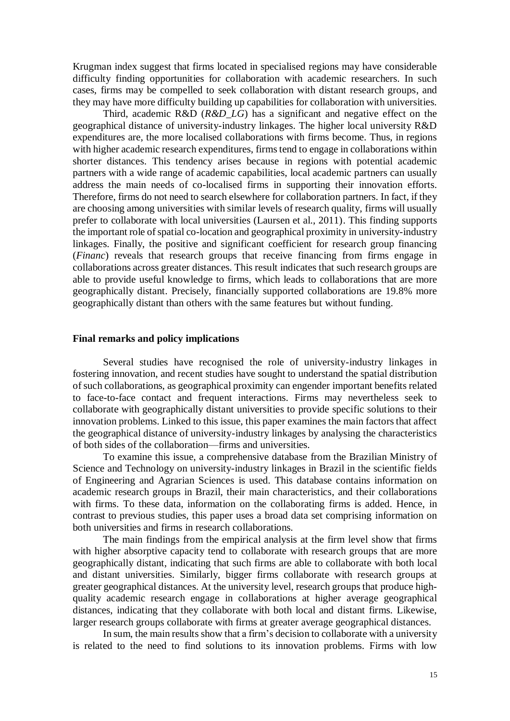Krugman index suggest that firms located in specialised regions may have considerable difficulty finding opportunities for collaboration with academic researchers. In such cases, firms may be compelled to seek collaboration with distant research groups, and they may have more difficulty building up capabilities for collaboration with universities.

Third, academic R&D (*R&D\_LG*) has a significant and negative effect on the geographical distance of university-industry linkages. The higher local university R&D expenditures are, the more localised collaborations with firms become. Thus, in regions with higher academic research expenditures, firms tend to engage in collaborations within shorter distances. This tendency arises because in regions with potential academic partners with a wide range of academic capabilities, local academic partners can usually address the main needs of co-localised firms in supporting their innovation efforts. Therefore, firms do not need to search elsewhere for collaboration partners. In fact, if they are choosing among universities with similar levels of research quality, firms will usually prefer to collaborate with local universities (Laursen et al., 2011). This finding supports the important role of spatial co-location and geographical proximity in university-industry linkages. Finally, the positive and significant coefficient for research group financing (*Financ*) reveals that research groups that receive financing from firms engage in collaborations across greater distances. This result indicates that such research groups are able to provide useful knowledge to firms, which leads to collaborations that are more geographically distant. Precisely, financially supported collaborations are 19.8% more geographically distant than others with the same features but without funding.

# **Final remarks and policy implications**

Several studies have recognised the role of university-industry linkages in fostering innovation, and recent studies have sought to understand the spatial distribution of such collaborations, as geographical proximity can engender important benefits related to face-to-face contact and frequent interactions. Firms may nevertheless seek to collaborate with geographically distant universities to provide specific solutions to their innovation problems. Linked to this issue, this paper examines the main factors that affect the geographical distance of university-industry linkages by analysing the characteristics of both sides of the collaboration—firms and universities.

To examine this issue, a comprehensive database from the Brazilian Ministry of Science and Technology on university-industry linkages in Brazil in the scientific fields of Engineering and Agrarian Sciences is used. This database contains information on academic research groups in Brazil, their main characteristics, and their collaborations with firms. To these data, information on the collaborating firms is added. Hence, in contrast to previous studies, this paper uses a broad data set comprising information on both universities and firms in research collaborations.

The main findings from the empirical analysis at the firm level show that firms with higher absorptive capacity tend to collaborate with research groups that are more geographically distant, indicating that such firms are able to collaborate with both local and distant universities. Similarly, bigger firms collaborate with research groups at greater geographical distances. At the university level, research groups that produce highquality academic research engage in collaborations at higher average geographical distances, indicating that they collaborate with both local and distant firms. Likewise, larger research groups collaborate with firms at greater average geographical distances.

In sum, the main results show that a firm's decision to collaborate with a university is related to the need to find solutions to its innovation problems. Firms with low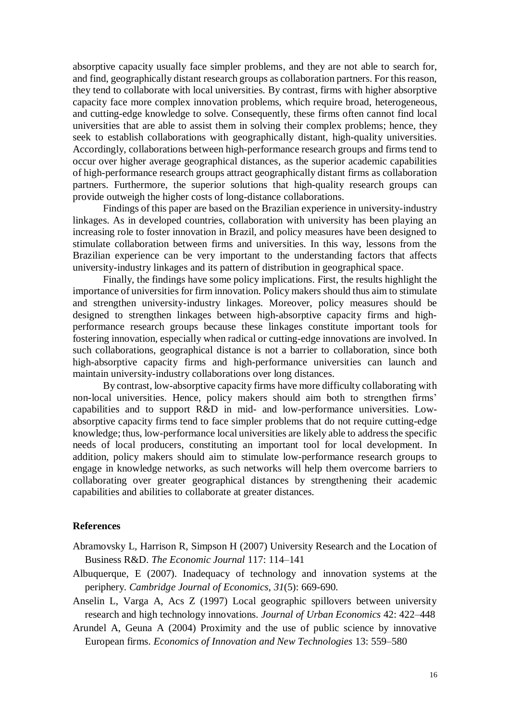absorptive capacity usually face simpler problems, and they are not able to search for, and find, geographically distant research groups as collaboration partners. For this reason, they tend to collaborate with local universities. By contrast, firms with higher absorptive capacity face more complex innovation problems, which require broad, heterogeneous, and cutting-edge knowledge to solve. Consequently, these firms often cannot find local universities that are able to assist them in solving their complex problems; hence, they seek to establish collaborations with geographically distant, high-quality universities. Accordingly, collaborations between high-performance research groups and firms tend to occur over higher average geographical distances, as the superior academic capabilities of high-performance research groups attract geographically distant firms as collaboration partners. Furthermore, the superior solutions that high-quality research groups can provide outweigh the higher costs of long-distance collaborations.

Findings of this paper are based on the Brazilian experience in university-industry linkages. As in developed countries, collaboration with university has been playing an increasing role to foster innovation in Brazil, and policy measures have been designed to stimulate collaboration between firms and universities. In this way, lessons from the Brazilian experience can be very important to the understanding factors that affects university-industry linkages and its pattern of distribution in geographical space.

Finally, the findings have some policy implications. First, the results highlight the importance of universities for firm innovation. Policy makers should thus aim to stimulate and strengthen university-industry linkages. Moreover, policy measures should be designed to strengthen linkages between high-absorptive capacity firms and highperformance research groups because these linkages constitute important tools for fostering innovation, especially when radical or cutting-edge innovations are involved. In such collaborations, geographical distance is not a barrier to collaboration, since both high-absorptive capacity firms and high-performance universities can launch and maintain university-industry collaborations over long distances.

By contrast, low-absorptive capacity firms have more difficulty collaborating with non-local universities. Hence, policy makers should aim both to strengthen firms' capabilities and to support R&D in mid- and low-performance universities. Lowabsorptive capacity firms tend to face simpler problems that do not require cutting-edge knowledge; thus, low-performance local universities are likely able to address the specific needs of local producers, constituting an important tool for local development. In addition, policy makers should aim to stimulate low-performance research groups to engage in knowledge networks, as such networks will help them overcome barriers to collaborating over greater geographical distances by strengthening their academic capabilities and abilities to collaborate at greater distances.

#### **References**

- Abramovsky L, Harrison R, Simpson H (2007) University Research and the Location of Business R&D. *The Economic Journal* 117: 114–141
- Albuquerque, E (2007). Inadequacy of technology and innovation systems at the periphery. *Cambridge Journal of Economics*, *31*(5): 669-690.
- Anselin L, Varga A, Acs Z (1997) Local geographic spillovers between university research and high technology innovations. *Journal of Urban Economics* 42: 422–448
- Arundel A, Geuna A (2004) Proximity and the use of public science by innovative European firms. *Economics of Innovation and New Technologies* 13: 559–580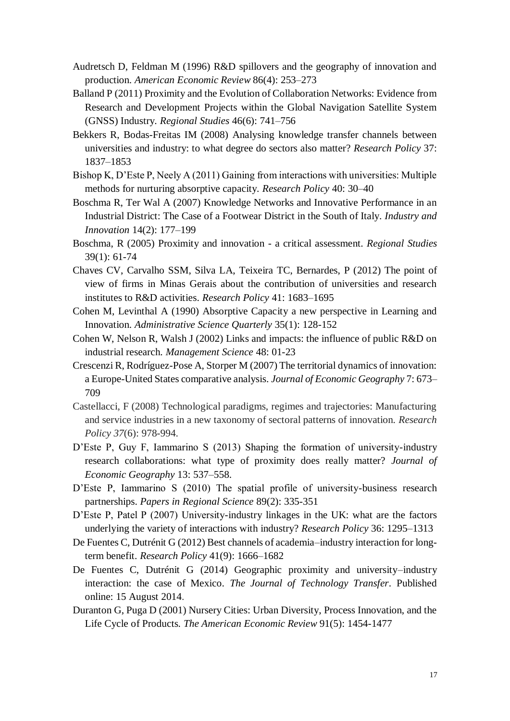- Audretsch D, Feldman M (1996) R&D spillovers and the geography of innovation and production. *American Economic Review* 86(4): 253–273
- Balland P (2011) Proximity and the Evolution of Collaboration Networks: Evidence from Research and Development Projects within the Global Navigation Satellite System (GNSS) Industry. *Regional Studies* 46(6): 741–756
- Bekkers R, Bodas-Freitas IM (2008) Analysing knowledge transfer channels between universities and industry: to what degree do sectors also matter? *Research Policy* 37: 1837–1853
- Bishop K, D'Este P, Neely A (2011) Gaining from interactions with universities: Multiple methods for nurturing absorptive capacity. *Research Policy* 40: 30–40
- Boschma R, Ter Wal A (2007) [Knowledge Networks and Innovative Performance in an](http://ideas.repec.org/a/taf/indinn/v14y2007i2p177-199.html)  Industrial District: The Case of [a Footwear District in the South of Italy.](http://ideas.repec.org/a/taf/indinn/v14y2007i2p177-199.html) *[Industry and](http://ideas.repec.org/s/taf/indinn.html)  [Innovation](http://ideas.repec.org/s/taf/indinn.html)* 14(2): 177–199
- Boschma, R (2005) Proximity and innovation a critical assessment. *Regional Studies* 39(1): 61-74
- Chaves CV, Carvalho SSM, Silva LA, Teixeira TC, Bernardes, P (2012) The point of view of firms in Minas Gerais about the contribution of universities and research institutes to R&D activities. *Research Policy* 41: 1683–1695
- Cohen M, Levinthal A (1990) Absorptive Capacity a new perspective in Learning and Innovation. *Administrative Science Quarterly* 35(1): 128-152
- Cohen W, Nelson R, Walsh J (2002) Links and impacts: the influence of public R&D on industrial research. *Management Science* 48: 01-23
- Crescenzi R, Rodríguez-Pose A, Storper M (2007) The territorial dynamics of innovation: a Europe-United States comparative analysis. *Journal of Economic Geography* 7: 673– 709
- Castellacci, F (2008) Technological paradigms, regimes and trajectories: Manufacturing and service industries in a new taxonomy of sectoral patterns of innovation. *Research Policy 37*(6): 978-994.
- D'Este P, Guy F, Iammarino S (2013) Shaping the formation of university-industry research collaborations: what type of proximity does really matter? *Journal of Economic Geography* 13: 537–558.
- D'Este P, Iammarino S (2010) The spatial profile of university-business research partnerships. *Papers in Regional Science* 89(2): 335-351
- D'Este P, Patel P (2007) University-industry linkages in the UK: what are the factors underlying the variety of interactions with industry? *Research Policy* 36: 1295–1313
- De Fuentes C, Dutrénit G (2012) [Best channels of academia–industry interaction for long](https://ideas.repec.org/a/eee/respol/v41y2012i9p1666-1682.html)[term benefit.](https://ideas.repec.org/a/eee/respol/v41y2012i9p1666-1682.html) *[Research Policy](https://ideas.repec.org/s/eee/respol.html)* 41(9): 1666–1682
- De Fuentes C, Dutrénit G (2014) Geographic proximity and university–industry interaction: the case of Mexico. *The Journal of Technology Transfer*. Published online: 15 August 2014.
- Duranton G, Puga D (2001) Nursery Cities: Urban Diversity, Process Innovation, and the Life Cycle of Products. *The American Economic Review* 91(5): 1454-1477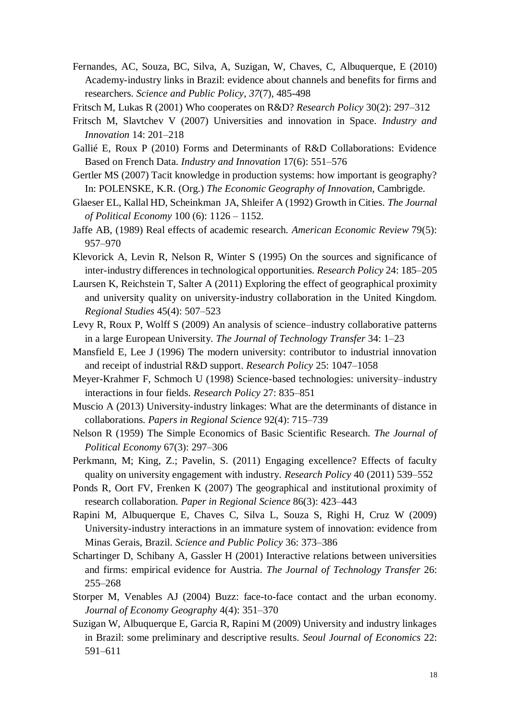- Fernandes, AC, Souza, BC, Silva, A, Suzigan, W, Chaves, C, Albuquerque, E (2010) Academy-industry links in Brazil: evidence about channels and benefits for firms and researchers. *Science and Public Policy*, *37*(7), 485-498
- Fritsch M, Lukas R (2001) [Who cooperates on R&D?](http://ideas.repec.org/a/eee/respol/v30y2001i2p297-312.html) *[Research Policy](http://ideas.repec.org/s/eee/respol.html)* 30(2): 297–312
- Fritsch M, Slavtchev V (2007) Universities and innovation in Space. *Industry and Innovation* 14: 201–218
- Gallié E, Roux P (2010) Forms and Determinants of R&D Collaborations: Evidence Based on French Data. *Industry and Innovation* 17(6): 551–576
- Gertler MS (2007) Tacit knowledge in production systems: how important is geography? In: POLENSKE, K.R. (Org.) *The Economic Geography of Innovation*, Cambrigde.
- Glaeser EL, Kallal HD, Scheinkman JA, Shleifer A (1992) Growth in Cities. *The Journal of Political Economy* 100 (6): 1126 – 1152.
- Jaffe AB, (1989) Real effects of academic research. *American Economic Review* 79(5): 957–970
- Klevorick A, Levin R, Nelson R, Winter S (1995) On the sources and significance of inter-industry differences in technological opportunities. *Research Policy* 24: 185–205
- Laursen K, Reichstein T, Salter A (2011) Exploring the effect of geographical proximity and university quality on university-industry collaboration in the United Kingdom. *Regional Studies* 45(4): 507–523
- Levy R, Roux P, Wolff S (2009) An analysis of science–industry collaborative patterns in a large European University. *The Journal of Technology Transfer* 34: 1–23
- Mansfield E, Lee J (1996) The modern university: contributor to industrial innovation and receipt of industrial R&D support. *Research Policy* 25: 1047–1058
- Meyer-Krahmer F, Schmoch U (1998) Science-based technologies: university–industry interactions in four fields. *Research Policy* 27: 835–851
- Muscio A (2013) University-industry linkages: What are the determinants of distance in collaborations. *Papers in Regional Science* 92(4): 715–739
- Nelson R (1959) The Simple Economics of Basic Scientific Research. *The Journal of Political Economy* 67(3): 297–306
- Perkmann, M; King, Z.; Pavelin, S. (2011) Engaging excellence? Effects of faculty quality on university engagement with industry. *Research Policy* 40 (2011) 539–552
- Ponds R, Oort FV, Frenken K (2007) The geographical and institutional proximity of research collaboration. *Paper in Regional Science* 86(3): 423–443
- Rapini M, Albuquerque E, Chaves C, Silva L, Souza S, Righi H, Cruz W (2009) University-industry interactions in an immature system of innovation: evidence from Minas Gerais, Brazil. *Science and Public Policy* 36: 373–386
- Schartinger D, Schibany A, Gassler H (2001) Interactive relations between universities and firms: empirical evidence for Austria. *The Journal of Technology Transfer* 26: 255–268
- Storper M, Venables AJ (2004) Buzz: face-to-face contact and the urban economy. *Journal of Economy Geography* 4(4): 351–370
- Suzigan W, Albuquerque E, Garcia R, Rapini M (2009) University and industry linkages in Brazil: some preliminary and descriptive results. *Seoul Journal of Economics* 22: 591–611